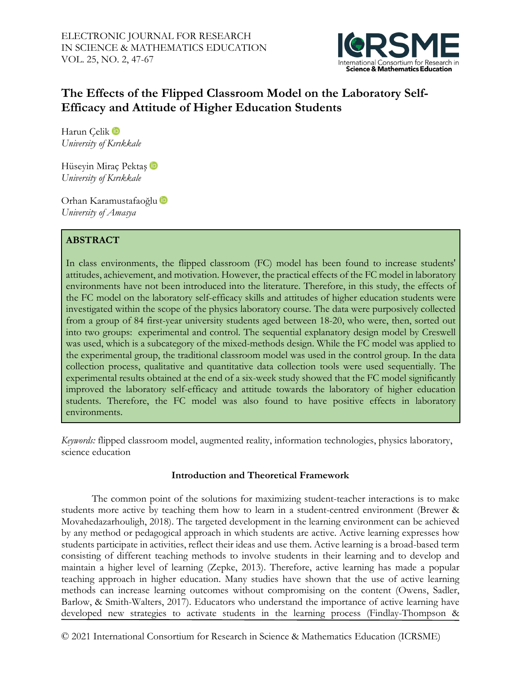

# **The Effects of the Flipped Classroom Model on the Laboratory Self-Efficacy and Attitude of Higher Education Students**

Harun Celik D *University of Kırıkkale*

HüseyinMiraç Pektaş D *University of Kırıkkale*

Orhan Karamustafaoğlu *University of Amasya*

## **ABSTRACT**

In class environments, the flipped classroom (FC) model has been found to increase students' attitudes, achievement, and motivation. However, the practical effects of the FC model in laboratory environments have not been introduced into the literature. Therefore, in this study, the effects of the FC model on the laboratory self-efficacy skills and attitudes of higher education students were investigated within the scope of the physics laboratory course. The data were purposively collected from a group of 84 first-year university students aged between 18-20, who were, then, sorted out into two groups: experimental and control. The sequential explanatory design model by Creswell was used, which is a subcategory of the mixed-methods design. While the FC model was applied to the experimental group, the traditional classroom model was used in the control group. In the data collection process, qualitative and quantitative data collection tools were used sequentially. The experimental results obtained at the end of a six-week study showed that the FC model significantly improved the laboratory self-efficacy and attitude towards the laboratory of higher education students. Therefore, the FC model was also found to have positive effects in laboratory environments.

*Keywords:* flipped classroom model, augmented reality, information technologies, physics laboratory, science education

## **Introduction and Theoretical Framework**

The common point of the solutions for maximizing student-teacher interactions is to make students more active by teaching them how to learn in a student-centred environment (Brewer & Movahedazarhouligh, 2018). The targeted development in the learning environment can be achieved by any method or pedagogical approach in which students are active. Active learning expresses how students participate in activities, reflect their ideas and use them. Active learning is a broad-based term consisting of different teaching methods to involve students in their learning and to develop and maintain a higher level of learning (Zepke, 2013). Therefore, active learning has made a popular teaching approach in higher education. Many studies have shown that the use of active learning methods can increase learning outcomes without compromising on the content (Owens, Sadler, Barlow, & Smith-Walters, 2017). Educators who understand the importance of active learning have developed new strategies to activate students in the learning process (Findlay-Thompson &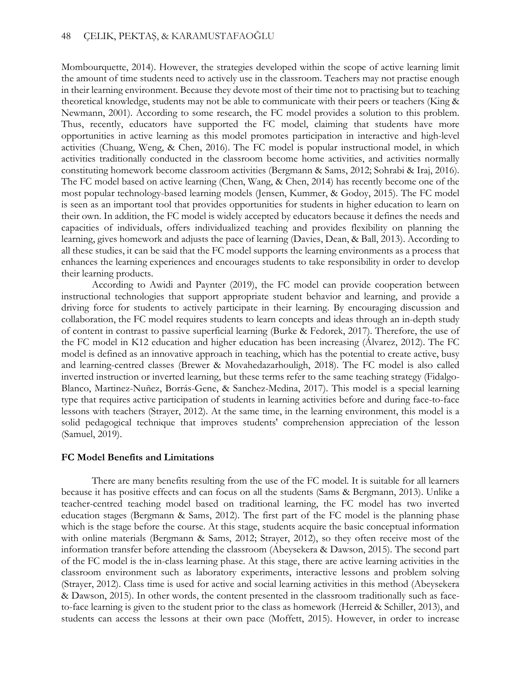Mombourquette, 2014). However, the strategies developed within the scope of active learning limit the amount of time students need to actively use in the classroom. Teachers may not practise enough in their learning environment. Because they devote most of their time not to practising but to teaching theoretical knowledge, students may not be able to communicate with their peers or teachers (King & Newmann, 2001). According to some research, the FC model provides a solution to this problem. Thus, recently, educators have supported the FC model, claiming that students have more opportunities in active learning as this model promotes participation in interactive and high-level activities (Chuang, Weng, & Chen, 2016). The FC model is popular instructional model, in which activities traditionally conducted in the classroom become home activities, and activities normally constituting homework become classroom activities (Bergmann & Sams, 2012; Sohrabi & Iraj, 2016). The FC model based on active learning (Chen, Wang, & Chen, 2014) has recently become one of the most popular technology-based learning models (Jensen, Kummer, & Godoy, 2015). The FC model is seen as an important tool that provides opportunities for students in higher education to learn on their own. In addition, the FC model is widely accepted by educators because it defines the needs and capacities of individuals, offers individualized teaching and provides flexibility on planning the learning, gives homework and adjusts the pace of learning (Davies, Dean, & Ball, 2013). According to all these studies, it can be said that the FC model supports the learning environments as a process that enhances the learning experiences and encourages students to take responsibility in order to develop their learning products.

According to Awidi and Paynter (2019), the FC model can provide cooperation between instructional technologies that support appropriate student behavior and learning, and provide a driving force for students to actively participate in their learning. By encouraging discussion and collaboration, the FC model requires students to learn concepts and ideas through an in-depth study of content in contrast to passive superficial learning (Burke & Fedorek, 2017). Therefore, the use of the FC model in K12 education and higher education has been increasing (Álvarez, 2012). The FC model is defined as an innovative approach in teaching, which has the potential to create active, busy and learning-centred classes (Brewer & Movahedazarhouligh, 2018). The FC model is also called inverted instruction or inverted learning, but these terms refer to the same teaching strategy (Fidalgo-Blanco, Martinez-Nuñez, Borrás-Gene, & Sanchez-Medina, 2017). This model is a special learning type that requires active participation of students in learning activities before and during face-to-face lessons with teachers (Strayer, 2012). At the same time, in the learning environment, this model is a solid pedagogical technique that improves students' comprehension appreciation of the lesson (Samuel, 2019).

#### **FC Model Benefits and Limitations**

There are many benefits resulting from the use of the FC model. It is suitable for all learners because it has positive effects and can focus on all the students (Sams & Bergmann, 2013). Unlike a teacher-centred teaching model based on traditional learning, the FC model has two inverted education stages (Bergmann & Sams, 2012). The first part of the FC model is the planning phase which is the stage before the course. At this stage, students acquire the basic conceptual information with online materials (Bergmann & Sams, 2012; Strayer, 2012), so they often receive most of the information transfer before attending the classroom (Abeysekera & Dawson, 2015). The second part of the FC model is the in-class learning phase. At this stage, there are active learning activities in the classroom environment such as laboratory experiments, interactive lessons and problem solving (Strayer, 2012). Class time is used for active and social learning activities in this method (Abeysekera & Dawson, 2015). In other words, the content presented in the classroom traditionally such as faceto-face learning is given to the student prior to the class as homework (Herreid & Schiller, 2013), and students can access the lessons at their own pace (Moffett, 2015). However, in order to increase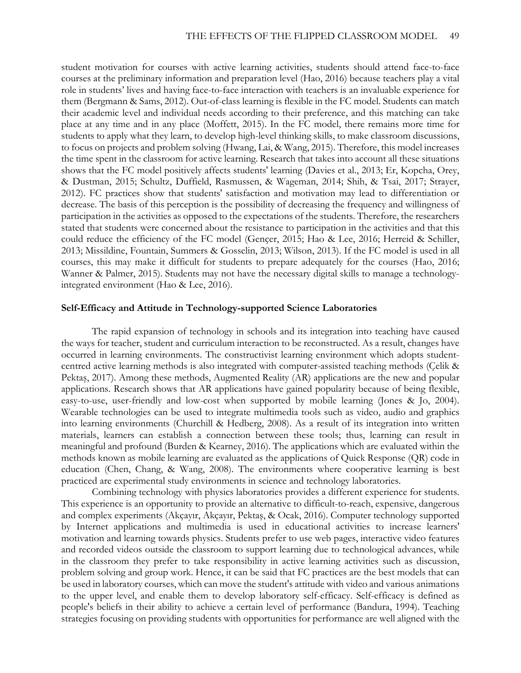student motivation for courses with active learning activities, students should attend face-to-face courses at the preliminary information and preparation level (Hao, 2016) because teachers play a vital role in students' lives and having face-to-face interaction with teachers is an invaluable experience for them (Bergmann & Sams, 2012). Out-of-class learning is flexible in the FC model. Students can match their academic level and individual needs according to their preference, and this matching can take place at any time and in any place (Moffett, 2015). In the FC model, there remains more time for students to apply what they learn, to develop high-level thinking skills, to make classroom discussions, to focus on projects and problem solving (Hwang, Lai, & Wang, 2015). Therefore, this model increases the time spent in the classroom for active learning. Research that takes into account all these situations shows that the FC model positively affects students' learning (Davies et al., 2013; Er, Kopcha, Orey, & Dustman, 2015; Schultz, Duffield, Rasmussen, & Wageman, 2014; Shih, & Tsai, 2017; Strayer, 2012). FC practices show that students' satisfaction and motivation may lead to differentiation or decrease. The basis of this perception is the possibility of decreasing the frequency and willingness of participation in the activities as opposed to the expectations of the students. Therefore, the researchers stated that students were concerned about the resistance to participation in the activities and that this could reduce the efficiency of the FC model (Gençer, 2015; Hao & Lee, 2016; Herreid & Schiller, 2013; Missildine, Fountain, Summers & Gosselin, 2013; Wilson, 2013). If the FC model is used in all courses, this may make it difficult for students to prepare adequately for the courses (Hao, 2016; Wanner & Palmer, 2015). Students may not have the necessary digital skills to manage a technologyintegrated environment (Hao & Lee, 2016).

### **Self-Efficacy and Attitude in Technology-supported Science Laboratories**

The rapid expansion of technology in schools and its integration into teaching have caused the ways for teacher, student and curriculum interaction to be reconstructed. As a result, changes have occurred in learning environments. The constructivist learning environment which adopts studentcentred active learning methods is also integrated with computer-assisted teaching methods (Çelik & Pektaş, 2017). Among these methods, Augmented Reality (AR) applications are the new and popular applications. Research shows that AR applications have gained popularity because of being flexible, easy-to-use, user-friendly and low-cost when supported by mobile learning (Jones & Jo, 2004). Wearable technologies can be used to integrate multimedia tools such as video, audio and graphics into learning environments (Churchill & Hedberg, 2008). As a result of its integration into written materials, learners can establish a connection between these tools; thus, learning can result in meaningful and profound (Burden & Kearney, 2016). The applications which are evaluated within the methods known as mobile learning are evaluated as the applications of Quick Response (QR) code in education (Chen, Chang, & Wang, 2008). The environments where cooperative learning is best practiced are experimental study environments in science and technology laboratories.

Combining technology with physics laboratories provides a different experience for students. This experience is an opportunity to provide an alternative to difficult-to-reach, expensive, dangerous and complex experiments (Akçayır, Akçayır, Pektaş, & Ocak, 2016). Computer technology supported by Internet applications and multimedia is used in educational activities to increase learners' motivation and learning towards physics. Students prefer to use web pages, interactive video features and recorded videos outside the classroom to support learning due to technological advances, while in the classroom they prefer to take responsibility in active learning activities such as discussion, problem solving and group work. Hence, it can be said that FC practices are the best models that can be used in laboratory courses, which can move the student's attitude with video and various animations to the upper level, and enable them to develop laboratory self-efficacy. Self-efficacy is defined as people's beliefs in their ability to achieve a certain level of performance (Bandura, 1994). Teaching strategies focusing on providing students with opportunities for performance are well aligned with the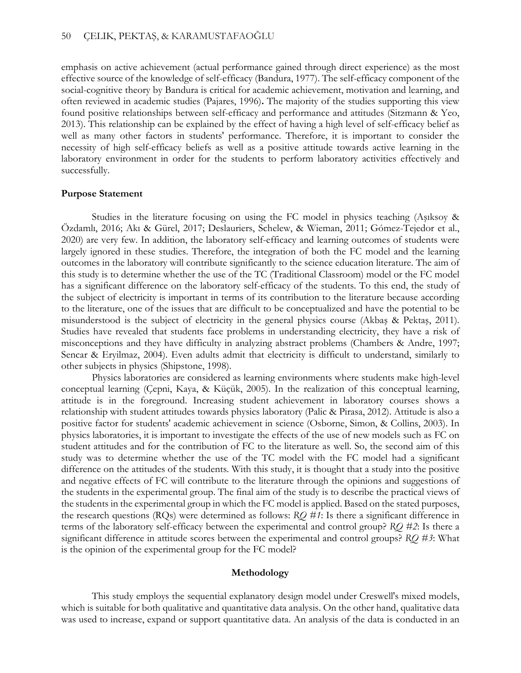emphasis on active achievement (actual performance gained through direct experience) as the most effective source of the knowledge of self-efficacy (Bandura, 1977). The self-efficacy component of the social-cognitive theory by Bandura is critical for academic achievement, motivation and learning, and often reviewed in academic studies (Pajares, 1996)**.** The majority of the studies supporting this view found positive relationships between self-efficacy and performance and attitudes (Sitzmann & Yeo, 2013). This relationship can be explained by the effect of having a high level of self-efficacy belief as well as many other factors in students' performance. Therefore, it is important to consider the necessity of high self-efficacy beliefs as well as a positive attitude towards active learning in the laboratory environment in order for the students to perform laboratory activities effectively and successfully.

#### **Purpose Statement**

Studies in the literature focusing on using the FC model in physics teaching (Aşıksoy & Özdamlı, 2016; Akı & Gürel, 2017; Deslauriers, Schelew, & Wieman, 2011; Gómez-Tejedor et al., 2020) are very few. In addition, the laboratory self-efficacy and learning outcomes of students were largely ignored in these studies. Therefore, the integration of both the FC model and the learning outcomes in the laboratory will contribute significantly to the science education literature. The aim of this study is to determine whether the use of the TC (Traditional Classroom) model or the FC model has a significant difference on the laboratory self-efficacy of the students. To this end, the study of the subject of electricity is important in terms of its contribution to the literature because according to the literature, one of the issues that are difficult to be conceptualized and have the potential to be misunderstood is the subject of electricity in the general physics course (Akbaş & Pektaş, 2011). Studies have revealed that students face problems in understanding electricity, they have a risk of misconceptions and they have difficulty in analyzing abstract problems (Chambers & Andre, 1997; Sencar & Eryilmaz, 2004). Even adults admit that electricity is difficult to understand, similarly to other subjects in physics (Shipstone, 1998).

Physics laboratories are considered as learning environments where students make high-level conceptual learning (Çepni, Kaya, & Küçük, 2005). In the realization of this conceptual learning, attitude is in the foreground. Increasing student achievement in laboratory courses shows a relationship with student attitudes towards physics laboratory (Palic & Pirasa, 2012). Attitude is also a positive factor for students' academic achievement in science (Osborne, Simon, & Collins, 2003). In physics laboratories, it is important to investigate the effects of the use of new models such as FC on student attitudes and for the contribution of FC to the literature as well. So, the second aim of this study was to determine whether the use of the TC model with the FC model had a significant difference on the attitudes of the students. With this study, it is thought that a study into the positive and negative effects of FC will contribute to the literature through the opinions and suggestions of the students in the experimental group. The final aim of the study is to describe the practical views of the students in the experimental group in which the FC model is applied. Based on the stated purposes, the research questions (RQs) were determined as follows: *RQ #1*: Is there a significant difference in terms of the laboratory self-efficacy between the experimental and control group? *RQ #2*: Is there a significant difference in attitude scores between the experimental and control groups? *RQ #3*: What is the opinion of the experimental group for the FC model?

#### **Methodology**

This study employs the sequential explanatory design model under Creswell's mixed models, which is suitable for both qualitative and quantitative data analysis. On the other hand, qualitative data was used to increase, expand or support quantitative data. An analysis of the data is conducted in an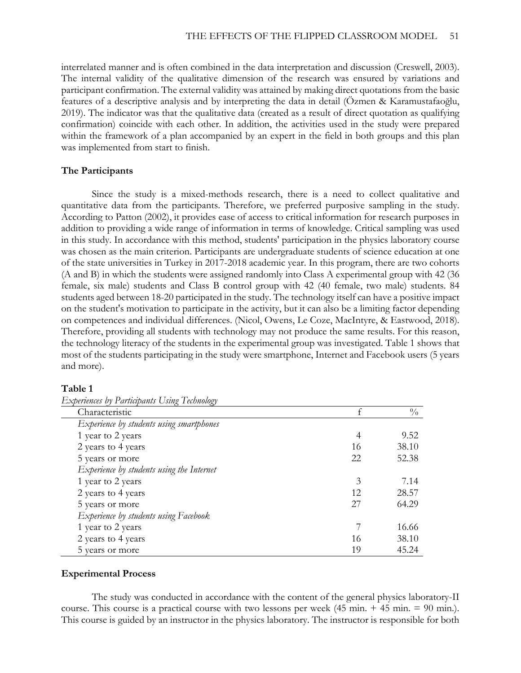interrelated manner and is often combined in the data interpretation and discussion (Creswell, 2003). The internal validity of the qualitative dimension of the research was ensured by variations and participant confirmation. The external validity was attained by making direct quotations from the basic features of a descriptive analysis and by interpreting the data in detail (Özmen & Karamustafaoğlu, 2019). The indicator was that the qualitative data (created as a result of direct quotation as qualifying confirmation) coincide with each other. In addition, the activities used in the study were prepared within the framework of a plan accompanied by an expert in the field in both groups and this plan was implemented from start to finish.

#### **The Participants**

Since the study is a mixed-methods research, there is a need to collect qualitative and quantitative data from the participants. Therefore, we preferred purposive sampling in the study. According to Patton (2002), it provides ease of access to critical information for research purposes in addition to providing a wide range of information in terms of knowledge. Critical sampling was used in this study. In accordance with this method, students' participation in the physics laboratory course was chosen as the main criterion. Participants are undergraduate students of science education at one of the state universities in Turkey in 2017-2018 academic year. In this program, there are two cohorts (A and B) in which the students were assigned randomly into Class A experimental group with 42 (36 female, six male) students and Class B control group with 42 (40 female, two male) students. 84 students aged between 18-20 participated in the study. The technology itself can have a positive impact on the student's motivation to participate in the activity, but it can also be a limiting factor depending on competences and individual differences. (Nicol, Owens, Le Coze, MacIntyre, & Eastwood, 2018). Therefore, providing all students with technology may not produce the same results. For this reason, the technology literacy of the students in the experimental group was investigated. Table 1 shows that most of the students participating in the study were smartphone, Internet and Facebook users (5 years and more).

#### **Table 1**

| Characteristic                            |    | $\frac{0}{0}$ |
|-------------------------------------------|----|---------------|
| Experience by students using smartphones  |    |               |
| 1 year to 2 years                         | 4  | 9.52          |
| 2 years to 4 years                        | 16 | 38.10         |
| 5 years or more                           | 22 | 52.38         |
| Experience by students using the Internet |    |               |
| 1 year to 2 years                         | 3  | 7.14          |
| 2 years to 4 years                        | 12 | 28.57         |
| 5 years or more                           | 27 | 64.29         |
| Experience by students using Facebook     |    |               |
| 1 year to 2 years                         |    | 16.66         |
| 2 years to 4 years                        | 16 | 38.10         |
| 5 years or more                           | 19 | 45.24         |

*Experiences by Participants Using Technology*

#### **Experimental Process**

The study was conducted in accordance with the content of the general physics laboratory-II course. This course is a practical course with two lessons per week  $(45 \text{ min.} + 45 \text{ min.} = 90 \text{ min.})$ . This course is guided by an instructor in the physics laboratory. The instructor is responsible for both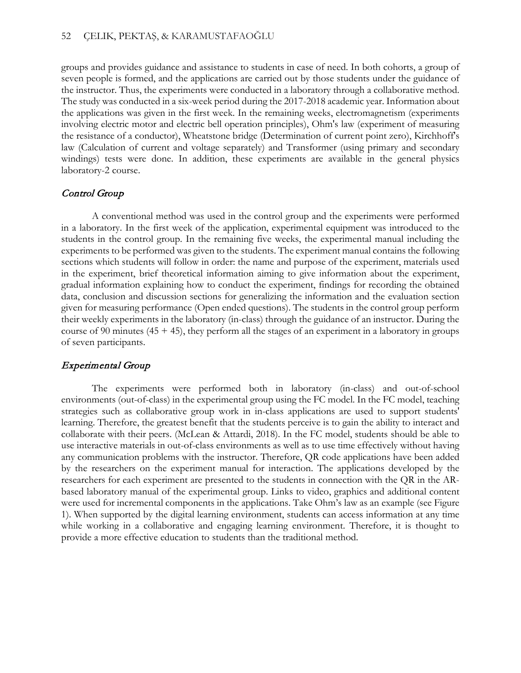groups and provides guidance and assistance to students in case of need. In both cohorts, a group of seven people is formed, and the applications are carried out by those students under the guidance of the instructor. Thus, the experiments were conducted in a laboratory through a collaborative method. The study was conducted in a six-week period during the 2017-2018 academic year. Information about the applications was given in the first week. In the remaining weeks, electromagnetism (experiments involving electric motor and electric bell operation principles), Ohm's law (experiment of measuring the resistance of a conductor), Wheatstone bridge (Determination of current point zero), Kirchhoff's law (Calculation of current and voltage separately) and Transformer (using primary and secondary windings) tests were done. In addition, these experiments are available in the general physics laboratory-2 course.

## Control Group

A conventional method was used in the control group and the experiments were performed in a laboratory. In the first week of the application, experimental equipment was introduced to the students in the control group. In the remaining five weeks, the experimental manual including the experiments to be performed was given to the students. The experiment manual contains the following sections which students will follow in order: the name and purpose of the experiment, materials used in the experiment, brief theoretical information aiming to give information about the experiment, gradual information explaining how to conduct the experiment, findings for recording the obtained data, conclusion and discussion sections for generalizing the information and the evaluation section given for measuring performance (Open ended questions). The students in the control group perform their weekly experiments in the laboratory (in-class) through the guidance of an instructor. During the course of 90 minutes  $(45 + 45)$ , they perform all the stages of an experiment in a laboratory in groups of seven participants.

## Experimental Group

The experiments were performed both in laboratory (in-class) and out-of-school environments (out-of-class) in the experimental group using the FC model. In the FC model, teaching strategies such as collaborative group work in in-class applications are used to support students' learning. Therefore, the greatest benefit that the students perceive is to gain the ability to interact and collaborate with their peers. (McLean & Attardi, 2018). In the FC model, students should be able to use interactive materials in out-of-class environments as well as to use time effectively without having any communication problems with the instructor. Therefore, QR code applications have been added by the researchers on the experiment manual for interaction. The applications developed by the researchers for each experiment are presented to the students in connection with the QR in the ARbased laboratory manual of the experimental group. Links to video, graphics and additional content were used for incremental components in the applications. Take Ohm's law as an example (see Figure 1). When supported by the digital learning environment, students can access information at any time while working in a collaborative and engaging learning environment. Therefore, it is thought to provide a more effective education to students than the traditional method.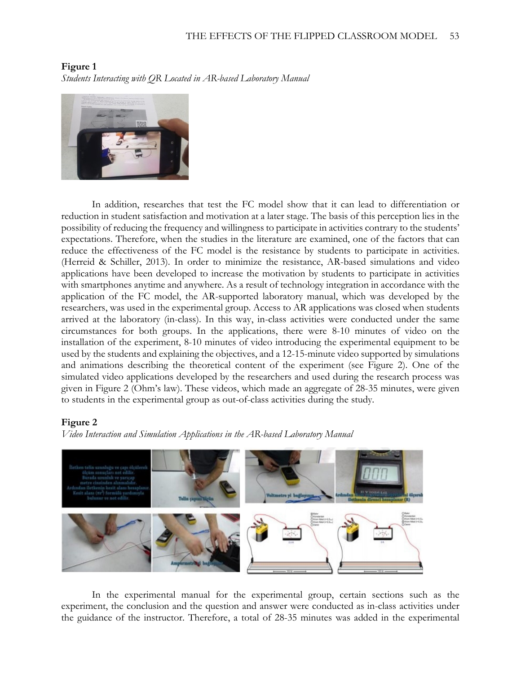

**Figure 1** *Students Interacting with QR Located in AR-based Laboratory Manual*

In addition, researches that test the FC model show that it can lead to differentiation or reduction in student satisfaction and motivation at a later stage. The basis of this perception lies in the possibility of reducing the frequency and willingness to participate in activities contrary to the students' expectations. Therefore, when the studies in the literature are examined, one of the factors that can reduce the effectiveness of the FC model is the resistance by students to participate in activities. (Herreid & Schiller, 2013). In order to minimize the resistance, AR-based simulations and video applications have been developed to increase the motivation by students to participate in activities with smartphones anytime and anywhere. As a result of technology integration in accordance with the application of the FC model, the AR-supported laboratory manual, which was developed by the researchers, was used in the experimental group. Access to AR applications was closed when students arrived at the laboratory (in-class). In this way, in-class activities were conducted under the same circumstances for both groups. In the applications, there were 8-10 minutes of video on the installation of the experiment, 8-10 minutes of video introducing the experimental equipment to be used by the students and explaining the objectives, and a 12-15-minute video supported by simulations and animations describing the theoretical content of the experiment (see Figure 2). One of the simulated video applications developed by the researchers and used during the research process was given in Figure 2 (Ohm's law). These videos, which made an aggregate of 28-35 minutes, were given to students in the experimental group as out-of-class activities during the study.

## **Figure 2**

*Video Interaction and Simulation Applications in the AR-based Laboratory Manual*



In the experimental manual for the experimental group, certain sections such as the experiment, the conclusion and the question and answer were conducted as in-class activities under the guidance of the instructor. Therefore, a total of 28-35 minutes was added in the experimental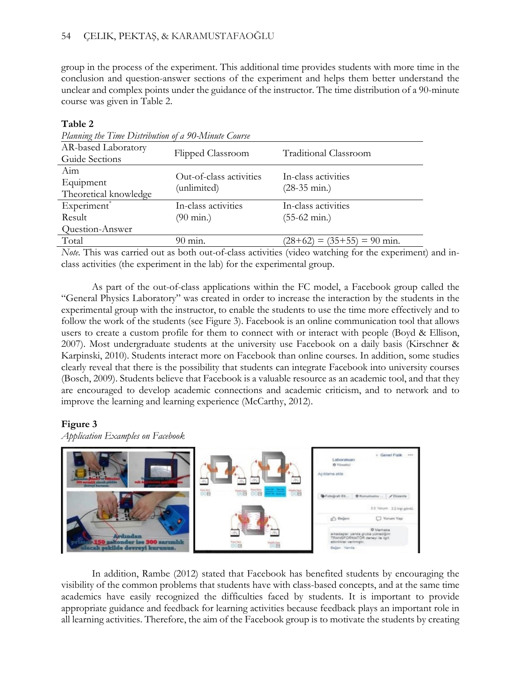group in the process of the experiment. This additional time provides students with more time in the conclusion and question-answer sections of the experiment and helps them better understand the unclear and complex points under the guidance of the instructor. The time distribution of a 90-minute course was given in Table 2.

## **Table 2**

| Planning the Time Distribution of a 90-Minute Course |                         |                                    |  |  |
|------------------------------------------------------|-------------------------|------------------------------------|--|--|
| AR-based Laboratory                                  |                         |                                    |  |  |
| Guide Sections                                       | Flipped Classroom       | <b>Traditional Classroom</b>       |  |  |
| Aim                                                  | Out-of-class activities | In-class activities                |  |  |
| Equipment                                            |                         |                                    |  |  |
| Theoretical knowledge                                | (unlimited)             | $(28-35 \text{ min.})$             |  |  |
| Experiment*                                          | In-class activities     | In-class activities                |  |  |
| Result                                               | $(90 \text{ min.})$     | $(55-62 \text{ min.})$             |  |  |
| Question-Answer                                      |                         |                                    |  |  |
| Total                                                | 90 min.                 | $= (35+55) = 90$ min.<br>$(28+62)$ |  |  |
|                                                      |                         |                                    |  |  |

*Note.* This was carried out as both out-of-class activities (video watching for the experiment) and inclass activities (the experiment in the lab) for the experimental group.

As part of the out-of-class applications within the FC model, a Facebook group called the "General Physics Laboratory" was created in order to increase the interaction by the students in the experimental group with the instructor, to enable the students to use the time more effectively and to follow the work of the students (see Figure 3). Facebook is an online communication tool that allows users to create a custom profile for them to connect with or interact with people (Boyd & Ellison, 2007). Most undergraduate students at the university use Facebook on a daily basis (Kirschner & Karpinski, 2010). Students interact more on Facebook than online courses. In addition, some studies clearly reveal that there is the possibility that students can integrate Facebook into university courses (Bosch, 2009). Students believe that Facebook is a valuable resource as an academic tool, and that they are encouraged to develop academic connections and academic criticism, and to network and to improve the learning and learning experience (McCarthy, 2012).

## **Figure 3**

*Application Examples on Facebook*



In addition, Rambe (2012) stated that Facebook has benefited students by encouraging the visibility of the common problems that students have with class-based concepts, and at the same time academics have easily recognized the difficulties faced by students. It is important to provide appropriate guidance and feedback for learning activities because feedback plays an important role in all learning activities. Therefore, the aim of the Facebook group is to motivate the students by creating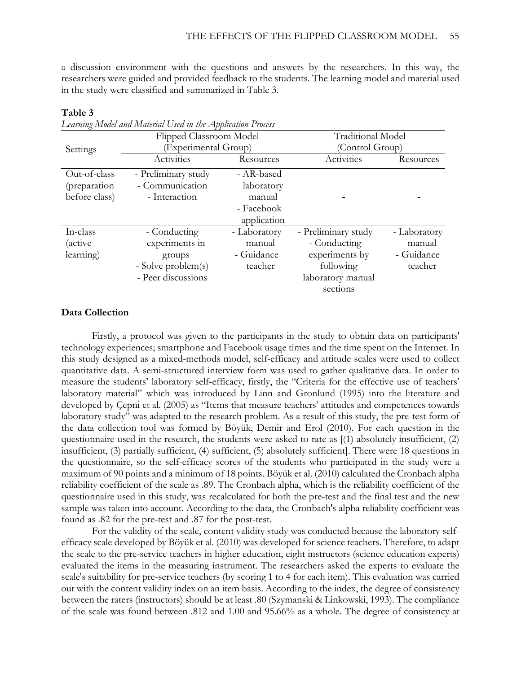a discussion environment with the questions and answers by the researchers. In this way, the researchers were guided and provided feedback to the students. The learning model and material used in the study were classified and summarized in Table 3.

|                | Flipped Classroom Model |              | <b>Traditional Model</b> |              |  |
|----------------|-------------------------|--------------|--------------------------|--------------|--|
| Settings       | Experimental Group)     |              | (Control Group)          |              |  |
|                | Activities              | Resources    | Activities               | Resources    |  |
| Out-of-class   | - Preliminary study     | - AR-based   |                          |              |  |
| (preparation   | - Communication         | laboratory   |                          |              |  |
| before class)  | - Interaction           | manual       |                          |              |  |
|                |                         | - Facebook   |                          |              |  |
|                |                         | application  |                          |              |  |
| In-class       | - Conducting            | - Laboratory | - Preliminary study      | - Laboratory |  |
| <i>(active</i> | experiments in          | manual       | - Conducting             | manual       |  |
| learning)      | groups                  | - Guidance   | experiments by           | - Guidance   |  |
|                | - Solve problem(s)      | teacher      | following                | teacher      |  |
|                | - Peer discussions      |              | laboratory manual        |              |  |
|                |                         |              | sections                 |              |  |

#### **Table 3**

*Learning Model and Material Used in the Application Process*

## **Data Collection**

Firstly, a protocol was given to the participants in the study to obtain data on participants' technology experiences; smartphone and Facebook usage times and the time spent on the Internet. In this study designed as a mixed-methods model, self-efficacy and attitude scales were used to collect quantitative data. A semi-structured interview form was used to gather qualitative data. In order to measure the students' laboratory self-efficacy, firstly, the "Criteria for the effective use of teachers' laboratory material" which was introduced by Linn and Gronlund (1995) into the literature and developed by Çepni et al. (2005) as "Items that measure teachers' attitudes and competences towards laboratory study" was adapted to the research problem. As a result of this study, the pre-test form of the data collection tool was formed by Böyük, Demir and Erol (2010). For each question in the questionnaire used in the research, the students were asked to rate as [(1) absolutely insufficient, (2) insufficient, (3) partially sufficient, (4) sufficient, (5) absolutely sufficient]. There were 18 questions in the questionnaire, so the self-efficacy scores of the students who participated in the study were a maximum of 90 points and a minimum of 18 points. Böyük et al. (2010) calculated the Cronbach alpha reliability coefficient of the scale as .89. The Cronbach alpha, which is the reliability coefficient of the questionnaire used in this study, was recalculated for both the pre-test and the final test and the new sample was taken into account. According to the data, the Cronbach's alpha reliability coefficient was found as .82 for the pre-test and .87 for the post-test.

For the validity of the scale, content validity study was conducted because the laboratory selfefficacy scale developed by Böyük et al. (2010) was developed for science teachers. Therefore, to adapt the scale to the pre-service teachers in higher education, eight instructors (science education experts) evaluated the items in the measuring instrument. The researchers asked the experts to evaluate the scale's suitability for pre-service teachers (by scoring 1 to 4 for each item). This evaluation was carried out with the content validity index on an item basis. According to the index, the degree of consistency between the raters (instructors) should be at least .80 (Szymanski & Linkowski, 1993). The compliance of the scale was found between .812 and 1.00 and 95.66% as a whole. The degree of consistency at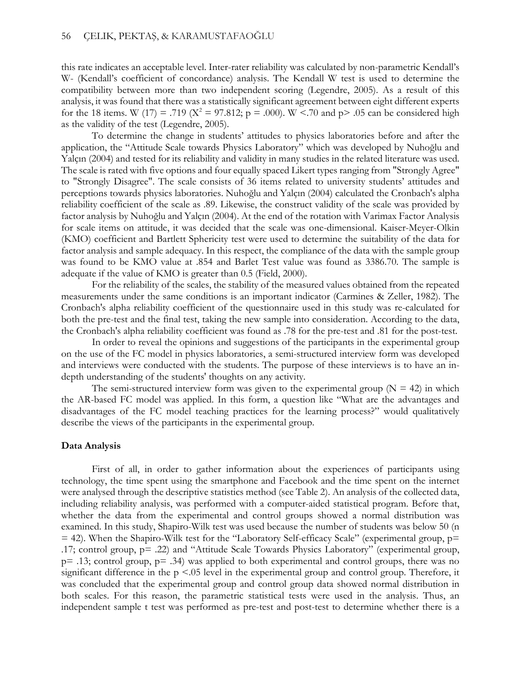this rate indicates an acceptable level. Inter-rater reliability was calculated by non-parametric Kendall's W- (Kendall's coefficient of concordance) analysis. The Kendall W test is used to determine the compatibility between more than two independent scoring (Legendre, 2005). As a result of this analysis, it was found that there was a statistically significant agreement between eight different experts for the 18 items. W (17) = .719 ( $X^2 = 97.812$ ; p = .000). W <.70 and p> .05 can be considered high as the validity of the test (Legendre, 2005).

To determine the change in students' attitudes to physics laboratories before and after the application, the "Attitude Scale towards Physics Laboratory" which was developed by Nuhoğlu and Yalçın (2004) and tested for its reliability and validity in many studies in the related literature was used. The scale is rated with five options and four equally spaced Likert types ranging from "Strongly Agree" to "Strongly Disagree". The scale consists of 36 items related to university students' attitudes and perceptions towards physics laboratories. Nuhoğlu and Yalçın (2004) calculated the Cronbach's alpha reliability coefficient of the scale as .89. Likewise, the construct validity of the scale was provided by factor analysis by Nuhoğlu and Yalçın (2004). At the end of the rotation with Varimax Factor Analysis for scale items on attitude, it was decided that the scale was one-dimensional. Kaiser-Meyer-Olkin (KMO) coefficient and Bartlett Sphericity test were used to determine the suitability of the data for factor analysis and sample adequacy. In this respect, the compliance of the data with the sample group was found to be KMO value at .854 and Barlet Test value was found as 3386.70. The sample is adequate if the value of KMO is greater than 0.5 (Field, 2000).

For the reliability of the scales, the stability of the measured values obtained from the repeated measurements under the same conditions is an important indicator (Carmines & Zeller, 1982). The Cronbach's alpha reliability coefficient of the questionnaire used in this study was re-calculated for both the pre-test and the final test, taking the new sample into consideration. According to the data, the Cronbach's alpha reliability coefficient was found as .78 for the pre-test and .81 for the post-test.

In order to reveal the opinions and suggestions of the participants in the experimental group on the use of the FC model in physics laboratories, a semi-structured interview form was developed and interviews were conducted with the students. The purpose of these interviews is to have an indepth understanding of the students' thoughts on any activity.

The semi-structured interview form was given to the experimental group  $(N = 42)$  in which the AR-based FC model was applied. In this form, a question like "What are the advantages and disadvantages of the FC model teaching practices for the learning process?" would qualitatively describe the views of the participants in the experimental group.

#### **Data Analysis**

First of all, in order to gather information about the experiences of participants using technology, the time spent using the smartphone and Facebook and the time spent on the internet were analysed through the descriptive statistics method (see Table 2). An analysis of the collected data, including reliability analysis, was performed with a computer-aided statistical program. Before that, whether the data from the experimental and control groups showed a normal distribution was examined. In this study, Shapiro-Wilk test was used because the number of students was below 50 (n  $=$  42). When the Shapiro-Wilk test for the "Laboratory Self-efficacy Scale" (experimental group,  $p=$ .17; control group, p= .22) and "Attitude Scale Towards Physics Laboratory" (experimental group,  $p=$  .13; control group,  $p=$  .34) was applied to both experimental and control groups, there was no significant difference in the p <.05 level in the experimental group and control group. Therefore, it was concluded that the experimental group and control group data showed normal distribution in both scales. For this reason, the parametric statistical tests were used in the analysis. Thus, an independent sample t test was performed as pre-test and post-test to determine whether there is a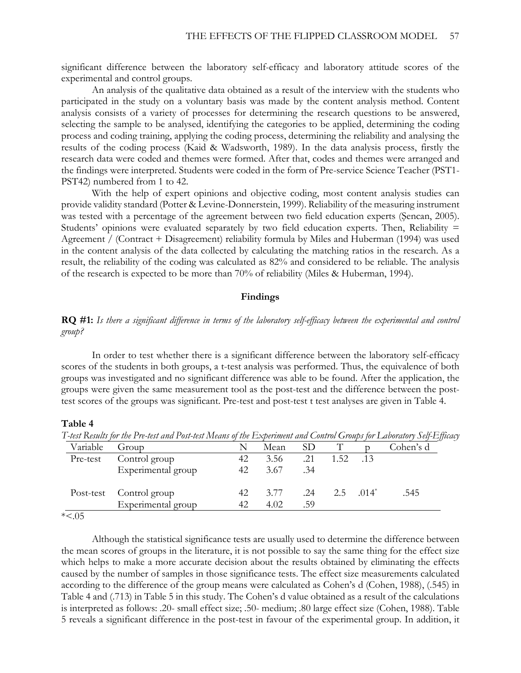significant difference between the laboratory self-efficacy and laboratory attitude scores of the experimental and control groups.

An analysis of the qualitative data obtained as a result of the interview with the students who participated in the study on a voluntary basis was made by the content analysis method. Content analysis consists of a variety of processes for determining the research questions to be answered, selecting the sample to be analysed, identifying the categories to be applied, determining the coding process and coding training, applying the coding process, determining the reliability and analysing the results of the coding process (Kaid & Wadsworth, 1989). In the data analysis process, firstly the research data were coded and themes were formed. After that, codes and themes were arranged and the findings were interpreted. Students were coded in the form of Pre-service Science Teacher (PST1- PST42) numbered from 1 to 42.

With the help of expert opinions and objective coding, most content analysis studies can provide validity standard (Potter & Levine-Donnerstein, 1999). Reliability of the measuring instrument was tested with a percentage of the agreement between two field education experts (Şencan, 2005). Students' opinions were evaluated separately by two field education experts. Then, Reliability = Agreement / (Contract + Disagreement) reliability formula by Miles and Huberman (1994) was used in the content analysis of the data collected by calculating the matching ratios in the research. As a result, the reliability of the coding was calculated as 82% and considered to be reliable. The analysis of the research is expected to be more than 70% of reliability (Miles & Huberman, 1994).

#### **Findings**

**RQ #1:** *Is there a significant difference in terms of the laboratory self-efficacy between the experimental and control group?*

In order to test whether there is a significant difference between the laboratory self-efficacy scores of the students in both groups, a t-test analysis was performed. Thus, the equivalence of both groups was investigated and no significant difference was able to be found. After the application, the groups were given the same measurement tool as the post-test and the difference between the posttest scores of the groups was significant. Pre-test and post-test t test analyses are given in Table 4.

#### **Table 4**

T-test Results for the Pre-test and Post-test Means of the Experiment and Control Groups for Laboratory Self-Efficacy

| Variable | Group                   |    | Mean | SD <sub>1</sub> |      |              | Cohen's d |
|----------|-------------------------|----|------|-----------------|------|--------------|-----------|
| Pre-test | Control group           | 42 | 3.56 | .21             | 1.52 | .13          |           |
|          | Experimental group      | 42 | 3.67 | .34             |      |              |           |
|          | Post-test Control group | 42 | 3.77 | .24             |      | 2.5 $.014^*$ | .545      |
|          | Experimental group      | 42 | 4.02 | .59             |      |              |           |

\*<.05

Although the statistical significance tests are usually used to determine the difference between the mean scores of groups in the literature, it is not possible to say the same thing for the effect size which helps to make a more accurate decision about the results obtained by eliminating the effects caused by the number of samples in those significance tests. The effect size measurements calculated according to the difference of the group means were calculated as Cohen's d (Cohen, 1988), (.545) in Table 4 and (.713) in Table 5 in this study. The Cohen's d value obtained as a result of the calculations is interpreted as follows: .20- small effect size; .50- medium; .80 large effect size (Cohen, 1988). Table 5 reveals a significant difference in the post-test in favour of the experimental group. In addition, it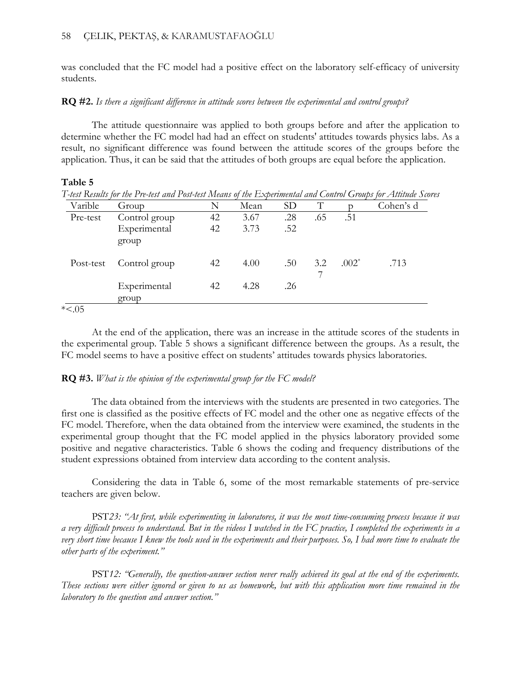was concluded that the FC model had a positive effect on the laboratory self-efficacy of university students.

## **RQ #2.** *Is there a significant difference in attitude scores between the experimental and control groups?*

The attitude questionnaire was applied to both groups before and after the application to determine whether the FC model had had an effect on students' attitudes towards physics labs. As a result, no significant difference was found between the attitude scores of the groups before the application. Thus, it can be said that the attitudes of both groups are equal before the application.

## **Table 5**

| Varible   | Group                 | N  | Mean | SD <sub>1</sub> | T   |          | Cohen's d |
|-----------|-----------------------|----|------|-----------------|-----|----------|-----------|
| Pre-test  | Control group         | 42 | 3.67 | .28             | .65 | .51      |           |
|           | Experimental<br>group | 42 | 3.73 | .52             |     |          |           |
| Post-test | Control group         | 42 | 4.00 | .50             | 3.2 | $.002^*$ | .713      |
|           | Experimental<br>group | 42 | 4.28 | .26             |     |          |           |

*T-test Results for the Pre-test and Post-test Means of the Experimental and Control Groups for Attitude Scores*

\*<.05

At the end of the application, there was an increase in the attitude scores of the students in the experimental group. Table 5 shows a significant difference between the groups. As a result, the FC model seems to have a positive effect on students' attitudes towards physics laboratories.

## **RQ #3.** *What is the opinion of the experimental group for the FC model?*

The data obtained from the interviews with the students are presented in two categories. The first one is classified as the positive effects of FC model and the other one as negative effects of the FC model. Therefore, when the data obtained from the interview were examined, the students in the experimental group thought that the FC model applied in the physics laboratory provided some positive and negative characteristics. Table 6 shows the coding and frequency distributions of the student expressions obtained from interview data according to the content analysis.

Considering the data in Table 6, some of the most remarkable statements of pre-service teachers are given below.

PST*23: "At first, while experimenting in laboratores, it was the most time-consuming process because it was a very difficult process to understand. But in the videos I watched in the FC practice, I completed the experiments in a very short time because I knew the tools used in the experiments and their purposes. So, I had more time to evaluate the other parts of the experiment."* 

PST*12: "Generally, the question-answer section never really achieved its goal at the end of the experiments. These sections were either ignored or given to us as homework, but with this application more time remained in the laboratory to the question and answer section."*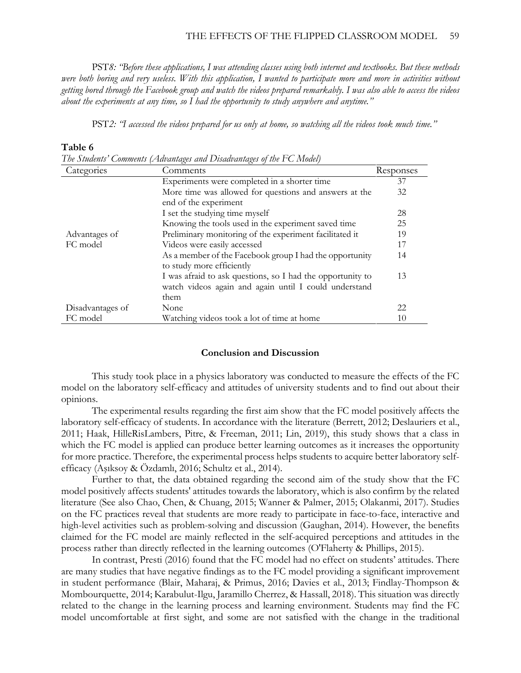PST*8: "Before these applications, I was attending classes using both internet and textbooks. But these methods*  were both boring and very useless. With this application, I wanted to participate more and more in activities without *getting bored through the Facebook group and watch the videos prepared remarkably. I was also able to access the videos about the experiments at any time, so I had the opportunity to study anywhere and anytime."* 

PST*2: "I accessed the videos prepared for us only at home, so watching all the videos took much time."*

#### **Table 6**

*The Students' Comments (Advantages and Disadvantages of the FC Model)*

| Categories       | Comments                                                   | Responses |
|------------------|------------------------------------------------------------|-----------|
|                  | Experiments were completed in a shorter time               | 37        |
|                  | More time was allowed for questions and answers at the     | 32        |
|                  | end of the experiment                                      |           |
|                  | I set the studying time myself                             | 28        |
|                  | Knowing the tools used in the experiment saved time        | 25        |
| Advantages of    | Preliminary monitoring of the experiment facilitated it    | 19        |
| FC model         | Videos were easily accessed                                | 17        |
|                  | As a member of the Facebook group I had the opportunity    | 14        |
|                  | to study more efficiently                                  |           |
|                  | I was afraid to ask questions, so I had the opportunity to | 13        |
|                  | watch videos again and again until I could understand      |           |
|                  | them                                                       |           |
| Disadvantages of | None                                                       | 22        |
| FC model         | Watching videos took a lot of time at home                 | 10        |

#### **Conclusion and Discussion**

This study took place in a physics laboratory was conducted to measure the effects of the FC model on the laboratory self-efficacy and attitudes of university students and to find out about their opinions.

The experimental results regarding the first aim show that the FC model positively affects the laboratory self-efficacy of students. In accordance with the literature (Berrett, 2012; Deslauriers et al., 2011; Haak, HilleRisLambers, Pitre, & Freeman, 2011; Lin, 2019), this study shows that a class in which the FC model is applied can produce better learning outcomes as it increases the opportunity for more practice. Therefore, the experimental process helps students to acquire better laboratory selfefficacy (Aşıksoy & Özdamlı, 2016; Schultz et al., 2014).

Further to that, the data obtained regarding the second aim of the study show that the FC model positively affects students' attitudes towards the laboratory, which is also confirm by the related literature (See also Chao, Chen, & Chuang, 2015; Wanner & Palmer, 2015; Olakanmi, 2017). Studies on the FC practices reveal that students are more ready to participate in face-to-face, interactive and high-level activities such as problem-solving and discussion (Gaughan, 2014). However, the benefits claimed for the FC model are mainly reflected in the self-acquired perceptions and attitudes in the process rather than directly reflected in the learning outcomes (O'Flaherty & Phillips, [2015\)](https://onlinelibrary.wiley.com/doi/full/10.1111/bjet.12604#bjet12604-bib-0036).

In contrast, Presti (2016) found that the FC model had no effect on students' attitudes. There are many studies that have negative findings as to the FC model providing a significant improvement in student performance (Blair, Maharaj, & Primus, [2016;](https://onlinelibrary.wiley.com/doi/full/10.1111/bjet.12604#bjet12604-bib-0009) Davies et al., 2013; Findlay-Thompson & Mombourquette, [2014;](https://onlinelibrary.wiley.com/doi/full/10.1111/bjet.12604#bjet12604-bib-0020) Karabulut-Ilgu, Jaramillo Cherrez, & Hassall, 2018). This situation was directly related to the change in the learning process and learning environment. Students may find the FC model uncomfortable at first sight, and some are not satisfied with the change in the traditional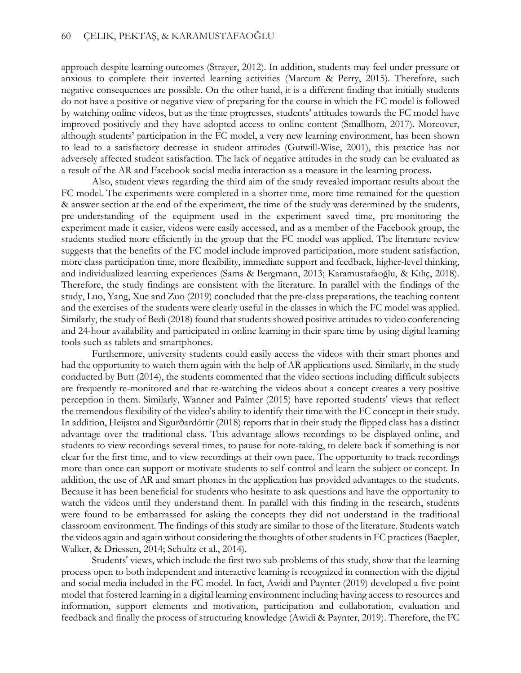approach despite learning outcomes (Strayer, 2012). In addition, students may feel under pressure or anxious to complete their inverted learning activities (Marcum & Perry, 2015). Therefore, such negative consequences are possible. On the other hand, it is a different finding that initially students do not have a positive or negative view of preparing for the course in which the FC model is followed by watching online videos, but as the time progresses, students' attitudes towards the FC model have improved positively and they have adopted access to online content (Smallhorn, 2017). Moreover, although students' participation in the FC model, a very new learning environment, has been shown to lead to a satisfactory decrease in student attitudes (Gutwill-Wise, 2001), this practice has not adversely affected student satisfaction. The lack of negative attitudes in the study can be evaluated as a result of the AR and Facebook social media interaction as a measure in the learning process.

Also, student views regarding the third aim of the study revealed important results about the FC model. The experiments were completed in a shorter time, more time remained for the question & answer section at the end of the experiment, the time of the study was determined by the students, pre-understanding of the equipment used in the experiment saved time, pre-monitoring the experiment made it easier, videos were easily accessed, and as a member of the Facebook group, the students studied more efficiently in the group that the FC model was applied. The literature review suggests that the benefits of the FC model include improved participation, more student satisfaction, more class participation time, more flexibility, immediate support and feedback, higher-level thinking, and individualized learning experiences (Sams & Bergmann, 2013; Karamustafaoğlu, & Kılıç, 2018). Therefore, the study findings are consistent with the literature. In parallel with the findings of the study, Luo, Yang, Xue and Zuo (2019) concluded that the pre-class preparations, the teaching content and the exercises of the students were clearly useful in the classes in which the FC model was applied. Similarly, the study of Bedi (2018) found that students showed positive attitudes to video conferencing and 24-hour availability and participated in online learning in their spare time by using digital learning tools such as tablets and smartphones.

Furthermore, university students could easily access the videos with their smart phones and had the opportunity to watch them again with the help of AR applications used. Similarly, in the study conducted by Butt (2014), the students commented that the video sections including difficult subjects are frequently re-monitored and that re-watching the videos about a concept creates a very positive perception in them. Similarly, Wanner and Palmer (2015) have reported students' views that reflect the tremendous flexibility of the video's ability to identify their time with the FC concept in their study. In addition, Heijstra and Sigurðardóttir (2018) reports that in their study the flipped class has a distinct advantage over the traditional class. This advantage allows recordings to be displayed online, and students to view recordings several times, to pause for note-taking, to delete back if something is not clear for the first time, and to view recordings at their own pace. The opportunity to track recordings more than once can support or motivate students to self-control and learn the subject or concept. In addition, the use of AR and smart phones in the application has provided advantages to the students. Because it has been beneficial for students who hesitate to ask questions and have the opportunity to watch the videos until they understand them. In parallel with this finding in the research, students were found to be embarrassed for asking the concepts they did not understand in the traditional classroom environment. The findings of this study are similar to those of the literature. Students watch the videos again and again without considering the thoughts of other students in FC practices (Baepler, Walker, & Driessen, 2014; Schultz et al., 2014).

Students' views, which include the first two sub-problems of this study, show that the learning process open to both independent and interactive learning is recognized in connection with the digital and social media included in the FC model. In fact, Awidi and Paynter (2019) developed a five-point model that fostered learning in a digital learning environment including having access to resources and information, support elements and motivation, participation and collaboration, evaluation and feedback and finally the process of structuring knowledge (Awidi & Paynter, 2019). Therefore, the FC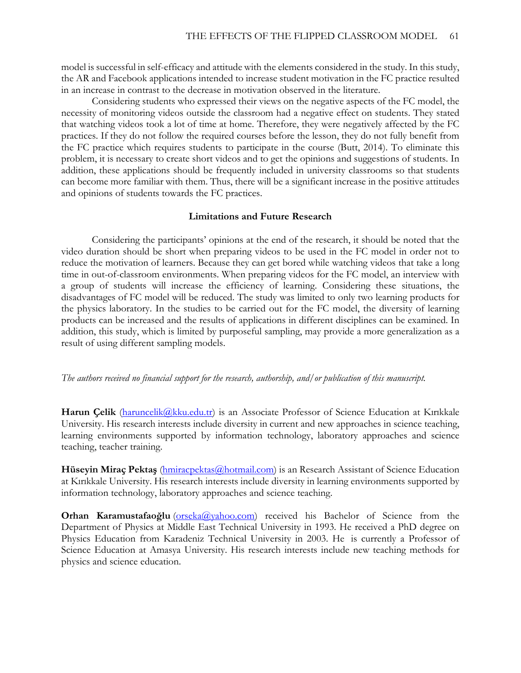model is successful in self-efficacy and attitude with the elements considered in the study. In this study, the AR and Facebook applications intended to increase student motivation in the FC practice resulted in an increase in contrast to the decrease in motivation observed in the literature.

Considering students who expressed their views on the negative aspects of the FC model, the necessity of monitoring videos outside the classroom had a negative effect on students. They stated that watching videos took a lot of time at home. Therefore, they were negatively affected by the FC practices. If they do not follow the required courses before the lesson, they do not fully benefit from the FC practice which requires students to participate in the course (Butt, 2014). To eliminate this problem, it is necessary to create short videos and to get the opinions and suggestions of students. In addition, these applications should be frequently included in university classrooms so that students can become more familiar with them. Thus, there will be a significant increase in the positive attitudes and opinions of students towards the FC practices.

## **Limitations and Future Research**

Considering the participants' opinions at the end of the research, it should be noted that the video duration should be short when preparing videos to be used in the FC model in order not to reduce the motivation of learners. Because they can get bored while watching videos that take a long time in out-of-classroom environments. When preparing videos for the FC model, an interview with a group of students will increase the efficiency of learning. Considering these situations, the disadvantages of FC model will be reduced. The study was limited to only two learning products for the physics laboratory. In the studies to be carried out for the FC model, the diversity of learning products can be increased and the results of applications in different disciplines can be examined. In addition, this study, which is limited by purposeful sampling, may provide a more generalization as a result of using different sampling models.

## *The authors received no financial support for the research, authorship, and/or publication of this manuscript.*

Harun Çelik [\(haruncelik@kku.edu.tr\)](mailto:haruncelik@kku.edu.tr) is an Associate Professor of Science Education at Kırıkkale University. His research interests include diversity in current and new approaches in science teaching, learning environments supported by information technology, laboratory approaches and science teaching, teacher training.

**Hüseyin Miraç Pektaş** [\(hmiracpektas@hotmail.com\)](mailto:hmiracpektas@hotmail.com) is an Research Assistant of Science Education at Kırıkkale University. His research interests include diversity in learning environments supported by information technology, laboratory approaches and science teaching.

**Orhan Karamustafaoğlu** [\(orseka@yahoo.com\)](mailto:orseka@yahoo.com) received his Bachelor of Science from the Department of Physics at Middle East Technical University in 1993. He received a PhD degree on Physics Education from Karadeniz Technical University in 2003. He is currently a Professor of Science Education at Amasya University. His research interests include new teaching methods for physics and science education.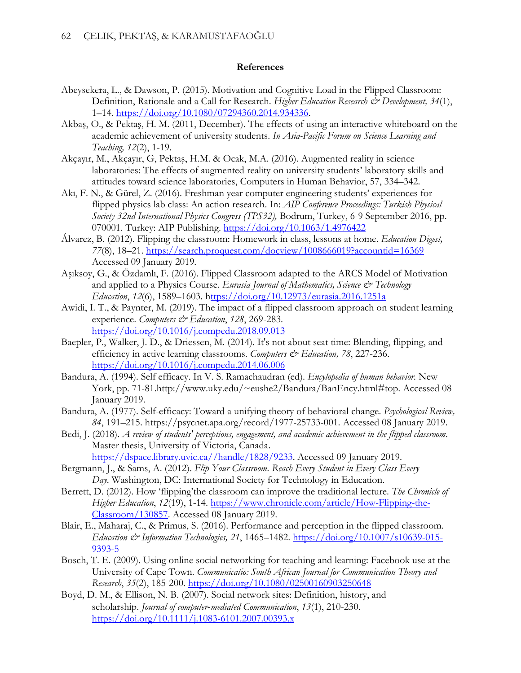### **References**

- Abeysekera, L., & Dawson, P. (2015). Motivation and Cognitive Load in the Flipped Classroom: Definition, Rationale and a Call for Research. *Higher Education Research & Development*, 34(1), 1–14. [https://doi.org/10.1080/07294360.2014.934336.](https://doi.org/10.1080/07294360.2014.934336)
- Akbaş, O., & Pektaş, H. M. (2011, December). The effects of using an interactive whiteboard on the academic achievement of university students. *In Asia-Pacific Forum on Science Learning and Teaching, 12*(2), 1-19.
- Akçayır, M., Akçayır, G, Pektaş, H.M. & Ocak, M.A. (2016). Augmented reality in science laboratories: The effects of augmented reality on university students' laboratory skills and attitudes toward science laboratories, Computers in Human Behavior, 57, 334–342.
- Akı, F. N., & Gürel, Z. (2016). Freshman year computer engineering students' experiences for flipped physics lab class: An action research. In: *AIP Conference Proceedings: Turkish Physical Society 32nd International Physics Congress (TPS32),* Bodrum, Turkey, 6-9 September 2016, pp. 070001. Turkey: AIP Publishing.<https://doi.org/10.1063/1.4976422>
- [Álvarez,](https://search.proquest.com/indexinglinkhandler/sng/au/$c1lvarez,+Brenda/$N?accountid=16369) B. (2012). Flipping the classroom: Homework in class, lessons at home. *Education Digest, 77*(8), 18–21. <https://search.proquest.com/docview/1008666019?accountid=16369> Accessed 09 January 2019.
- Aşıksoy, G., & Özdamlı, F. (2016). Flipped Classroom adapted to the ARCS Model of Motivation and applied to a Physics Course. *Eurasia Journal of Mathematics, Science & Technology Education*, *12*(6), 1589–1603. <https://doi.org/10.12973/eurasia.2016.1251a>
- Awidi, I. T., & Paynter, M. (2019). The impact of a flipped classroom approach on student learning experience. *Computers & Education*, *128*, 269-283. <https://doi.org/10.1016/j.compedu.2018.09.013>
- Baepler, P., Walker, J. D., & Driessen, M. (2014). It's not about seat time: Blending, flipping, and efficiency in active learning classrooms. *Computers & Education*, 78, 227-236. <https://doi.org/10.1016/j.compedu.2014.06.006>
- Bandura, A. (1994). Self efficacy. In V. S. Ramachaudran (ed). *Encylopedia of human behavior.* New York, pp. 71-81.http://www.uky.edu/~eushe2/Bandura/BanEncy.html#top. Accessed 08 January 2019.
- Bandura, A. (1977). Self-efficacy: Toward a unifying theory of behavioral change. *Psychological Review, 84*, 191–215. [https://psycnet.apa.org/record/1977-25733-001.](https://psycnet.apa.org/record/1977-25733-001) Accessed 08 January 2019.
- Bedi, J. (2018). *A review of students' perceptions, engagement, and academic achievement in the flipped classroom*. Master thesis, University of Victoria, Canada.

[https://dspace.library.uvic.ca//handle/1828/9233.](https://dspace.library.uvic.ca/handle/1828/9233) Accessed 09 January 2019.

- Bergmann, J., & Sams, A. (2012). *Flip Your Classroom. Reach Every Student in Every Class Every Day*. Washington, DC: International Society for Technology in Education.
- Berrett, D. (2012). How 'flipping'the classroom can improve the traditional lecture. *The Chronicle of Higher Education*, *12*(19), 1-14. [https://www.chronicle.com/article/How-Flipping-the-](https://www.chronicle.com/article/How-Flipping-the-Classroom/130857)[Classroom/130857.](https://www.chronicle.com/article/How-Flipping-the-Classroom/130857) Accessed 08 January 2019.
- Blair, E., Maharaj, C., & Primus, S. (2016). Performance and perception in the flipped classroom. *Education & Information Technologies, 21*, 1465–1482. [https://doi.org/10.1007/s10639-015-](https://doi.org/10.1007/s10639-015-9393-5) [9393-5](https://doi.org/10.1007/s10639-015-9393-5)
- Bosch, T. E. (2009). Using online social networking for teaching and learning: Facebook use at the University of Cape Town. *Communicatio: South African Journal for Communication Theory and Research*, *35*(2), 185-200. <https://doi.org/10.1080/02500160903250648>
- Boyd, D. M., & Ellison, N. B. (2007). Social network sites: Definition, history, and scholarship. *Journal of computer‐mediated Communication*, *13*(1), 210-230. <https://doi.org/10.1111/j.1083-6101.2007.00393.x>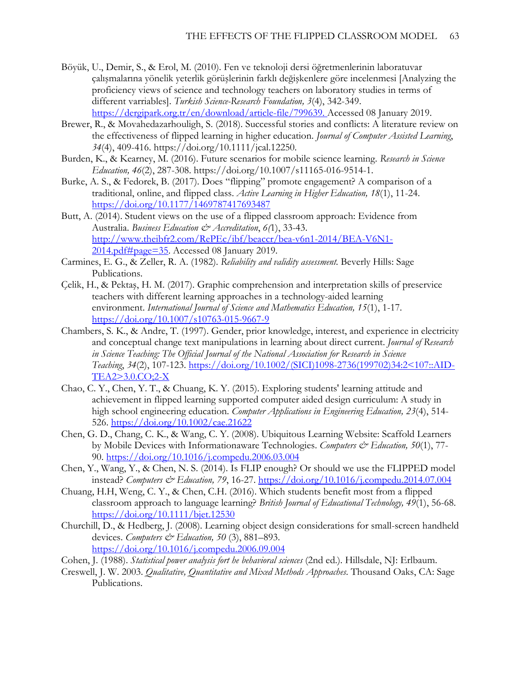- Böyük, U., Demir, S., & Erol, M. (2010). Fen ve teknoloji dersi öğretmenlerinin laboratuvar çalışmalarına yönelik yeterlik görüşlerinin farklı değişkenlere göre incelenmesi [Analyzing the proficiency views of science and technology teachers on laboratory studies in terms of different varriables]. *Turkish Science-Research Foundation, 3*(4), 342-349. [https://dergipark.org.tr/en/download/article-file/799639.](https://dergipark.org.tr/en/download/article-file/799639) Accessed 08 January 2019.
- Brewer, R., & Movahedazarhouligh, S. (2018). Successful stories and conflicts: A literature review on the effectiveness of flipped learning in higher education. *Journal of Computer Assisted Learning*, *34*(4), 409-416. https://doi.org/10.1111/jcal.12250.
- Burden, K., & Kearney, M. (2016). Future scenarios for mobile science learning. *Research in Science Education, 46*(2), 287-308. https://doi.org/10.1007/s11165-016-9514-1.
- Burke, A. S., & Fedorek, B. (2017). Does "flipping" promote engagement? A comparison of a traditional, online, and flipped class. *Active Learning in Higher Education, 18*(1), 11-24. <https://doi.org/10.1177/1469787417693487>
- Butt, A. (2014). Student views on the use of a flipped classroom approach: Evidence from Australia. *Business Education & Accreditation*, *6(*1), 33-43. [http://www.theibfr2.com/RePEc/ibf/beaccr/bea-v6n1-2014/BEA-V6N1-](http://www.theibfr2.com/RePEc/ibf/beaccr/bea-v6n1-2014/BEA-V6N1-2014.pdf#page=35)  $2014.$ pdf#page=35. Accessed 08 January 2019.
- Carmines, E. G., & Zeller, R. A. (1982). *Reliability and validity assessment.* Beverly Hills: Sage Publications.
- Çelik, H., & Pektaş, H. M. (2017). Graphic comprehension and interpretation skills of preservice teachers with different learning approaches in a technology-aided learning environment. *International Journal of Science and Mathematics Education, 15*(1), 1-17. <https://doi.org/10.1007/s10763-015-9667-9>
- Chambers, S. K., & Andre, T. (1997). Gender, prior knowledge, interest, and experience in electricity and conceptual change text manipulations in learning about direct current. *Journal of Research in Science Teaching: The Official Journal of the National Association for Research in Science Teaching*, *34*(2), 107-123. [https://doi.org/10.1002/\(SICI\)1098-2736\(199702\)34:2<107::AID-](https://doi.org/10.1002/(SICI)1098-2736(199702)34:2%3C107::AID-TEA2%3E3.0.CO;2-X)[TEA2>3.0.CO;2-X](https://doi.org/10.1002/(SICI)1098-2736(199702)34:2%3C107::AID-TEA2%3E3.0.CO;2-X)
- Chao, C. Y., Chen, Y. T., & Chuang, K. Y. (2015). Exploring students' learning attitude and achievement in flipped learning supported computer aided design curriculum: A study in high school engineering education. *Computer Applications in Engineering Education, 23*(4), 514- 526.<https://doi.org/10.1002/cae.21622>
- Chen, G. D., Chang, C. K., & Wang, C. Y. (2008). Ubiquitous Learning Website: Scaffold Learners by Mobile Devices with Informationaware Technologies. *Computers & Education*, 50(1), 77-90.<https://doi.org/10.1016/j.compedu.2006.03.004>
- Chen, Y., Wang, Y., & Chen, N. S. (2014). Is FLIP enough? Or should we use the FLIPPED model instead? *Computers & Education, 79*, 16-27.<https://doi.org/10.1016/j.compedu.2014.07.004>
- Chuang, H.H, Weng, C. Y., & Chen, C.H. (2016). Which students benefit most from a flipped classroom approach to language learning? *British Journal of Educational Technology, 49*(1), 56-68. <https://doi.org/10.1111/bjet.12530>
- Churchill, D., & Hedberg, J. (2008). Learning object design considerations for small-screen handheld devices. *Computers & Education, 50* (3), 881–893. <https://doi.org/10.1016/j.compedu.2006.09.004>
- Cohen, J. (1988). *Statistical power analysis fort he behavioral sciences* (2nd ed.). Hillsdale, NJ: Erlbaum.
- Creswell, J. W. 2003. *Qualitative, Quantitative and Mixed Methods Approaches*. Thousand Oaks, CA: Sage Publications.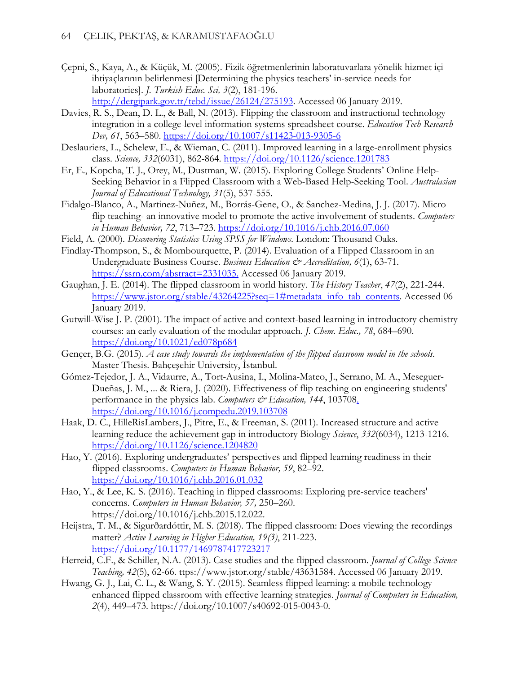- Çepni, S., Kaya, A., & Küçük, M. (2005). Fizik öğretmenlerinin laboratuvarlara yönelik hizmet içi ihtiyaçlarının belirlenmesi [Determining the physics teachers' in-service needs for laboratories]. *J. Turkish Educ. Sci, 3*(2), 181-196. [http://dergipark.gov.tr/tebd/issue/26124/275193.](http://dergipark.gov.tr/tebd/issue/26124/275193) Accessed 06 January 2019.
- Davies, R. S., Dean, D. L., & Ball, N. (2013). Flipping the classroom and instructional technology integration in a college-level information systems spreadsheet course. *Education Tech Research Dev, 61*, 563–580.<https://doi.org/10.1007/s11423-013-9305-6>
- Deslauriers, L., Schelew, E., & Wieman, C. (2011). Improved learning in a large-enrollment physics class. *Science, 332*(6031), 862-864.<https://doi.org/10.1126/science.1201783>
- Er, E., Kopcha, T. J., Orey, M., Dustman, W. (2015). Exploring College Students' Online Help-Seeking Behavior in a Flipped Classroom with a Web-Based Help-Seeking Tool. *Australasian Journal of Educational Technology, 31*(5), 537-555.
- Fidalgo-Blanco, A., Martinez-Nuñez, M., Borrás-Gene, O., & Sanchez-Medina, J. J. (2017). Micro flip teaching- an innovative model to promote the active involvement of students. *Computers in Human Behavior, 72*, 713–723.<https://doi.org/10.1016/j.chb.2016.07.060>
- Field, A. (2000). *Discovering Statistics Using SPSS for Windows*. London: Thousand Oaks.
- Findlay-Thompson, S., & Mombourquette, P. (2014). Evaluation of a Flipped Classroom in an Undergraduate Business Course. *Business Education & Accreditation*, 6(1), 63-71. [https://ssrn.com/abstract=2331035.](https://ssrn.com/abstract=2331035) Accessed 06 January 2019.
- Gaughan, J. E. (2014). The flipped classroom in world history. *The History Teacher*, *47*(2), 221-244. [https://www.jstor.org/stable/43264225?seq=1#metadata\\_info\\_tab\\_contents.](https://www.jstor.org/stable/43264225?seq=1#metadata_info_tab_contents) Accessed 06 January 2019.
- Gutwill-Wise J. P. (2001). The impact of active and context-based learning in introductory chemistry courses: an early evaluation of the modular approach. *J. Chem. Educ., 78*, 684–690. <https://doi.org/10.1021/ed078p684>
- Gençer, B.G. (2015). *A case study towards the implementation of the flipped classroom model in the schools*. Master Thesis. Bahçeşehir University, İstanbul.
- Gómez-Tejedor, J. A., Vidaurre, A., Tort-Ausina, I., Molina-Mateo, J., Serrano, M. A., Meseguer-Dueñas, J. M., ... & Riera, J. (2020). Effectiveness of flip teaching on engineering students' performance in the physics lab. *Computers & Education*, 144, 103708. <https://doi.org/10.1016/j.compedu.2019.103708>
- Haak, D. C., HilleRisLambers, J., Pitre, E., & Freeman, S. (2011). Increased structure and active learning reduce the achievement gap in introductory Biology *Science*, *332*(6034), 1213-1216. <https://doi.org/10.1126/science.1204820>
- Hao, Y. (2016). Exploring undergraduates' perspectives and flipped learning readiness in their flipped classrooms. *Computers in Human Behavior, 59*, 82–92. <https://doi.org/10.1016/j.chb.2016.01.032>
- Hao, Y., & Lee, K. S. (2016). Teaching in flipped classrooms: Exploring pre-service teachers' concerns. *Computers in Human Behavior, 57,* 250–260. [https://doi.org/10.1016/j.chb.2015.12.022.](https://doi.org/10.1016/j.chb.2015.12.022)
- Heijstra, T. M., & Sigurðardóttir, M. S. (2018). The flipped classroom: Does viewing the recordings matter? *Active Learning in Higher Education, 19(3)*, 211-223. <https://doi.org/10.1177/1469787417723217>
- Herreid, C.F., & Schiller, N.A. (2013). Case studies and the flipped classroom. *Journal of College Science Teaching, 42*(5), 62-66. ttps://www.jstor.org/stable/43631584. Accessed 06 January 2019.
- Hwang, G. J., Lai, C. L., & Wang, S. Y. (2015). Seamless flipped learning: a mobile technology enhanced flipped classroom with effective learning strategies. *Journal of Computers in Education, 2*(4), 449–473. https://doi.org/10.1007/s40692-015-0043-0.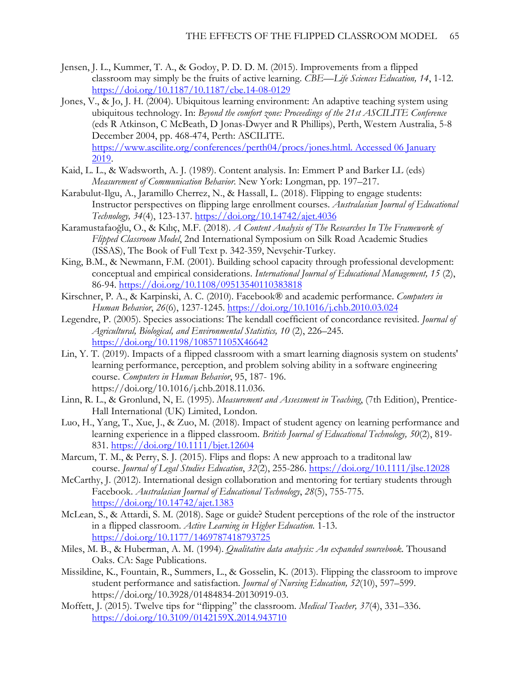- Jensen, J. L., Kummer, T. A., & Godoy, P. D. D. M. (2015). Improvements from a flipped classroom may simply be the fruits of active learning. *CBE—Life Sciences Education, 14*, 1-12. <https://doi.org/10.1187/10.1187/cbe.14-08-0129>
- Jones, V., & Jo, J. H. (2004). Ubiquitous learning environment: An adaptive teaching system using ubiquitous technology. In: *Beyond the comfort zone: Proceedings of the 21st ASCILITE Conference* (eds R Atkinson, C McBeath, D Jonas-Dwyer and R Phillips), Perth, Western Australia, 5-8 December 2004, pp. 468-474, Perth: ASCILITE. [https://www.ascilite.org/conferences/perth04/procs/jones.html. Accessed 06 January](https://www.ascilite.org/conferences/perth04/procs/jones.html.%20Accessed%2006%20January%202019)  [2019.](https://www.ascilite.org/conferences/perth04/procs/jones.html.%20Accessed%2006%20January%202019)
- Kaid, L. L., & Wadsworth, A. J. (1989). Content analysis. In: Emmert P and Barker LL (eds) *Measurement of Communication Behavior*. New York: Longman, pp. 197–217.
- Karabulut-Ilgu, A., Jaramillo Cherrez, N., & Hassall, L. (2018). Flipping to engage students: Instructor perspectives on flipping large enrollment courses. *Australasian Journal of Educational Technology, 34*(4), 123-137.<https://doi.org/10.14742/ajet.4036>
- Karamustafaoğlu, O., & Kılıç, M.F. (2018). *A Content Analysis of The Researches In The Framework of Flipped Classroom Model*, 2nd International Symposium on Silk Road Academic Studies (ISSAS), The Book of Full Text p. 342-359, Nevşehir-Turkey.
- King, B.M., & Newmann, F.M. (2001). Building school capacity through professional development: conceptual and empirical considerations. *International Journal of Educational Management, 15* (2), 86-94.<https://doi.org/10.1108/09513540110383818>
- Kirschner, P. A., & Karpinski, A. C. (2010). Facebook® and academic performance. *Computers in Human Behavior*, *26*(6), 1237-1245. <https://doi.org/10.1016/j.chb.2010.03.024>
- Legendre, P. (2005). Species associations: The kendall coefficient of concordance revisited. *Journal of Agricultural, Biological, and Environmental Statistics, 10* (2), 226–245. <https://doi.org/10.1198/108571105X46642>
- Lin, Y. T. (2019). Impacts of a flipped classroom with a smart learning diagnosis system on students' learning performance, perception, and problem solving ability in a software engineering course. *Computers in Human Behavior*, 95, 187- 196. https://doi.org/10.1016/j.chb.2018.11.036.
- Linn, R. L., & Gronlund, N, E. (1995). *Measurement and Assessment in Teaching*, (7th Edition), Prentice-Hall International (UK) Limited, London.
- Luo, H., Yang, T., Xue, J., & Zuo, M. (2018). Impact of student agency on learning performance and learning experience in a flipped classroom. *British Journal of Educational Technology, 50*(2), 819- 831.<https://doi.org/10.1111/bjet.12604>
- Marcum, T. M., & Perry, S. J. (2015). Flips and flops: A new approach to a traditonal law course. *Journal of Legal Studies Education*, *32*(2), 255-286. <https://doi.org/10.1111/jlse.12028>
- McCarthy, J. (2012). International design collaboration and mentoring for tertiary students through Facebook. *Australasian Journal of Educational Technology*, *28*(5), 755-775. <https://doi.org/10.14742/ajet.1383>
- McLean, S., & Attardi, S. M. (2018). Sage or guide? Student perceptions of the role of the instructor in a flipped classroom. *Active Learning in Higher Education.* 1-13. <https://doi.org/10.1177/1469787418793725>
- Miles, M. B., & Huberman, A. M. (1994). *Qualitative data analysis: An expanded sourcebook*. Thousand Oaks. CA: Sage Publications.
- Missildine, K., Fountain, R., Summers, L., & Gosselin, K. (2013). Flipping the classroom to improve student performance and satisfaction. *Journal of Nursing Education, 52*(10), 597–599. [https://doi.org/10.3928/01484834-20130919-03.](https://doi.org/10.3928/01484834-20130919-03)
- Moffett, J. (2015). Twelve tips for "flipping" the classroom. *Medical Teacher, 37*(4), 331–336. <https://doi.org/10.3109/0142159X.2014.943710>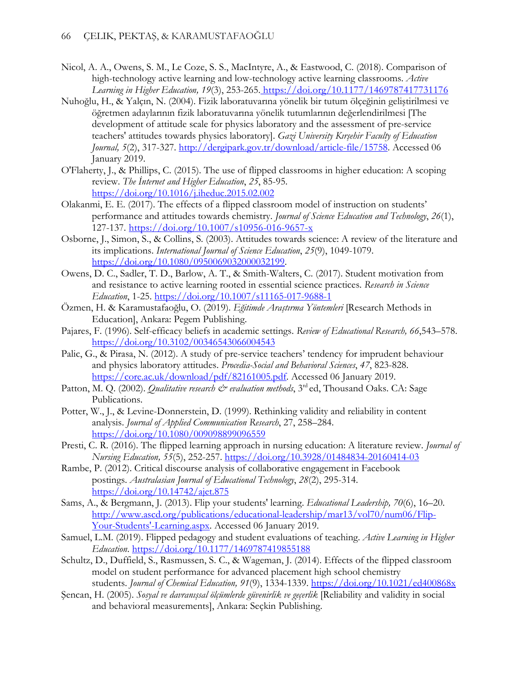- Nicol, A. A., Owens, S. M., Le Coze, S. S., MacIntyre, A., & Eastwood, C. (2018). Comparison of high-technology active learning and low-technology active learning classrooms. *Active Learning in Higher Education, 19*(3), 253-265. [https://doi.org/10.1177/1469787417731176](https://doi.org/10.1177%2F1469787417731176)
- Nuhoğlu, H., & Yalçın, N. (2004). Fizik laboratuvarına yönelik bir tutum ölçeğinin geliştirilmesi ve öğretmen adaylarının fizik laboratuvarına yönelik tutumlarının değerlendirilmesi [The development of attitude scale for physics laboratory and the assessment of pre-service teachers' attitudes towards physics laboratory]. *Gazi University Kırşehir Faculty of Education Journal, 5*(2), 317-327. [http://dergipark.gov.tr/download/article-file/15758.](http://dergipark.gov.tr/download/article-file/15758) Accessed 06 January 2019.
- O'Flaherty, J., & Phillips, C. (2015). The use of flipped classrooms in higher education: A scoping review. *The İnternet and Higher Education*, *25*, 85-95. <https://doi.org/10.1016/j.iheduc.2015.02.002>
- Olakanmi, E. E. (2017). The effects of a flipped classroom model of instruction on students' performance and attitudes towards chemistry. *Journal of Science Education and Technology*, *26*(1), 127-137. <https://doi.org/10.1007/s10956-016-9657-x>
- Osborne, J., Simon, S., & Collins, S. (2003). Attitudes towards science: A review of the literature and its implications. *International Journal of Science Education*, *25*(9), 1049-1079. [https://doi.org/10.1080/0950069032000032199.](https://doi.org/10.1080/0950069032000032199)
- Owens, D. C., Sadler, T. D., Barlow, A. T., & Smith-Walters, C. (2017). Student motivation from and resistance to active learning rooted in essential science practices. *Research in Science Education*, 1-25.<https://doi.org/10.1007/s11165-017-9688-1>
- Özmen, H. & Karamustafaoğlu, O. (2019). *Eğitimde Araştırma Yöntemleri* [Research Methods in Education], Ankara: Pegem Publishing.
- Pajares, F. (1996). Self-efficacy beliefs in academic settings. *Review of Educational Research, 66*,543–578. [https://doi.org/10.3102/00346543066004543](https://doi.org/10.3102%2F00346543066004543)
- Palic, G., & Pirasa, N. (2012). A study of pre-service teachers' tendency for imprudent behaviour and physics laboratory attitudes. *Procedia-Social and Behavioral Sciences*, *47*, 823-828. [https://core.ac.uk/download/pdf/82161005.pdf.](https://core.ac.uk/download/pdf/82161005.pdf) Accessed 06 January 2019.
- Patton, M. Q. (2002). *Qualitative research & evaluation methods*, 3<sup>rd</sup> ed, Thousand Oaks. CA: Sage Publications.
- Potter, W., J., & Levine-Donnerstein, D. (1999). Rethinking validity and reliability in content analysis. *Journal of Applied Communication Research*, 27, 258–284. <https://doi.org/10.1080/009098899096559>
- Presti, C. R. (2016). The flipped learning approach in nursing education: A literature review. *Journal of Nursing Education, 55*(5), 252-257.<https://doi.org/10.3928/01484834-20160414-03>
- Rambe, P. (2012). Critical discourse analysis of collaborative engagement in Facebook postings. *Australasian Journal of Educational Technology*, *28*(2), 295-314. <https://doi.org/10.14742/ajet.875>
- Sams, A., & Bergmann, J. (2013). Flip your students' learning. *Educational Leadership, 70*(6), 16–20. [http://www.ascd.org/publications/educational-leadership/mar13/vol70/num06/Flip-](http://www.ascd.org/publications/educational-leadership/mar13/vol70/num06/Flip-Your-Students)[Your-Students'-Learning.aspx.](http://www.ascd.org/publications/educational-leadership/mar13/vol70/num06/Flip-Your-Students) Accessed 06 January 2019.
- Samuel, L.M. (2019). Flipped pedagogy and student evaluations of teaching. *Active Learning in Higher Education*.<https://doi.org/10.1177/1469787419855188>
- Schultz, D., Duffield, S., Rasmussen, S. C., & Wageman, J. (2014). Effects of the flipped classroom model on student performance for advanced placement high school chemistry students. *Journal of Chemical Education, 91*(9), 1334-1339.<https://doi.org/10.1021/ed400868x>
- Şencan, H. (2005). *Sosyal ve davranışsal ölçümlerde güvenirlik ve geçerlik* [Reliability and validity in social and behavioral measurements], Ankara: Seçkin Publishing.